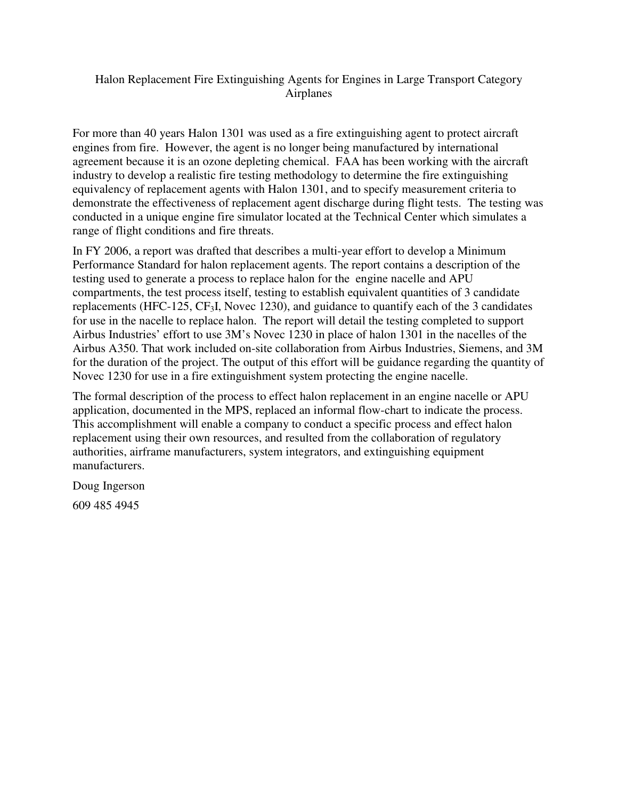### Halon Replacement Fire Extinguishing Agents for Engines in Large Transport Category Airplanes

For more than 40 years Halon 1301 was used as a fire extinguishing agent to protect aircraft engines from fire. However, the agent is no longer being manufactured by international agreement because it is an ozone depleting chemical. FAA has been working with the aircraft industry to develop a realistic fire testing methodology to determine the fire extinguishing equivalency of replacement agents with Halon 1301, and to specify measurement criteria to demonstrate the effectiveness of replacement agent discharge during flight tests. The testing was conducted in a unique engine fire simulator located at the Technical Center which simulates a range of flight conditions and fire threats.

In FY 2006, a report was drafted that describes a multi-year effort to develop a Minimum Performance Standard for halon replacement agents. The report contains a description of the testing used to generate a process to replace halon for the engine nacelle and APU compartments, the test process itself, testing to establish equivalent quantities of 3 candidate replacements (HFC-125, CF3I, Novec 1230), and guidance to quantify each of the 3 candidates for use in the nacelle to replace halon. The report will detail the testing completed to support Airbus Industries' effort to use 3M's Novec 1230 in place of halon 1301 in the nacelles of the Airbus A350. That work included on-site collaboration from Airbus Industries, Siemens, and 3M for the duration of the project. The output of this effort will be guidance regarding the quantity of Novec 1230 for use in a fire extinguishment system protecting the engine nacelle.

The formal description of the process to effect halon replacement in an engine nacelle or APU application, documented in the MPS, replaced an informal flow-chart to indicate the process. This accomplishment will enable a company to conduct a specific process and effect halon replacement using their own resources, and resulted from the collaboration of regulatory authorities, airframe manufacturers, system integrators, and extinguishing equipment manufacturers.

Doug Ingerson

609 485 4945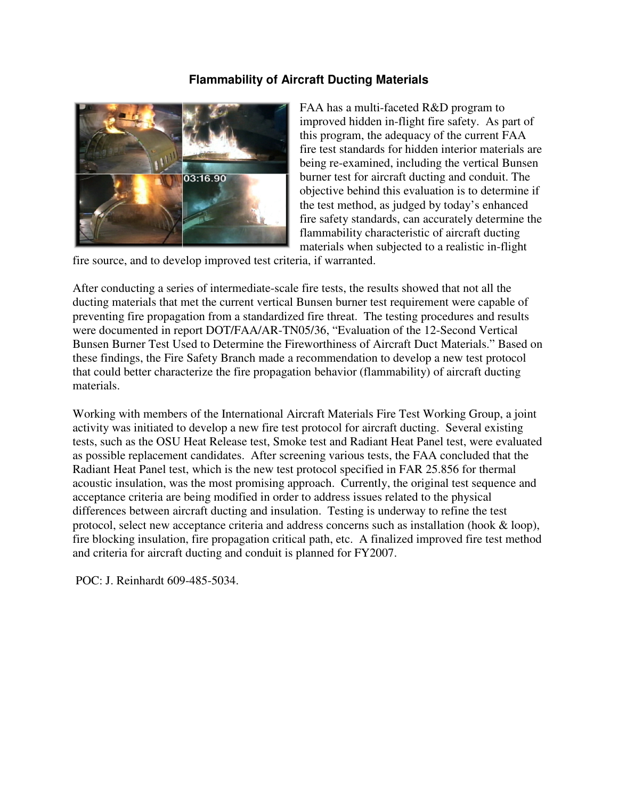## **Flammability of Aircraft Ducting Materials**



FAA has a multi-faceted R&D program to improved hidden in-flight fire safety. As part of this program, the adequacy of the current FAA fire test standards for hidden interior materials are being re-examined, including the vertical Bunsen burner test for aircraft ducting and conduit. The objective behind this evaluation is to determine if the test method, as judged by today's enhanced fire safety standards, can accurately determine the flammability characteristic of aircraft ducting materials when subjected to a realistic in-flight

fire source, and to develop improved test criteria, if warranted.

After conducting a series of intermediate-scale fire tests, the results showed that not all the ducting materials that met the current vertical Bunsen burner test requirement were capable of preventing fire propagation from a standardized fire threat. The testing procedures and results were documented in report DOT/FAA/AR-TN05/36, "Evaluation of the 12-Second Vertical Bunsen Burner Test Used to Determine the Fireworthiness of Aircraft Duct Materials." Based on these findings, the Fire Safety Branch made a recommendation to develop a new test protocol that could better characterize the fire propagation behavior (flammability) of aircraft ducting materials.

Working with members of the International Aircraft Materials Fire Test Working Group, a joint activity was initiated to develop a new fire test protocol for aircraft ducting. Several existing tests, such as the OSU Heat Release test, Smoke test and Radiant Heat Panel test, were evaluated as possible replacement candidates. After screening various tests, the FAA concluded that the Radiant Heat Panel test, which is the new test protocol specified in FAR 25.856 for thermal acoustic insulation, was the most promising approach. Currently, the original test sequence and acceptance criteria are being modified in order to address issues related to the physical differences between aircraft ducting and insulation. Testing is underway to refine the test protocol, select new acceptance criteria and address concerns such as installation (hook & loop), fire blocking insulation, fire propagation critical path, etc. A finalized improved fire test method and criteria for aircraft ducting and conduit is planned for FY2007.

POC: J. Reinhardt 609-485-5034.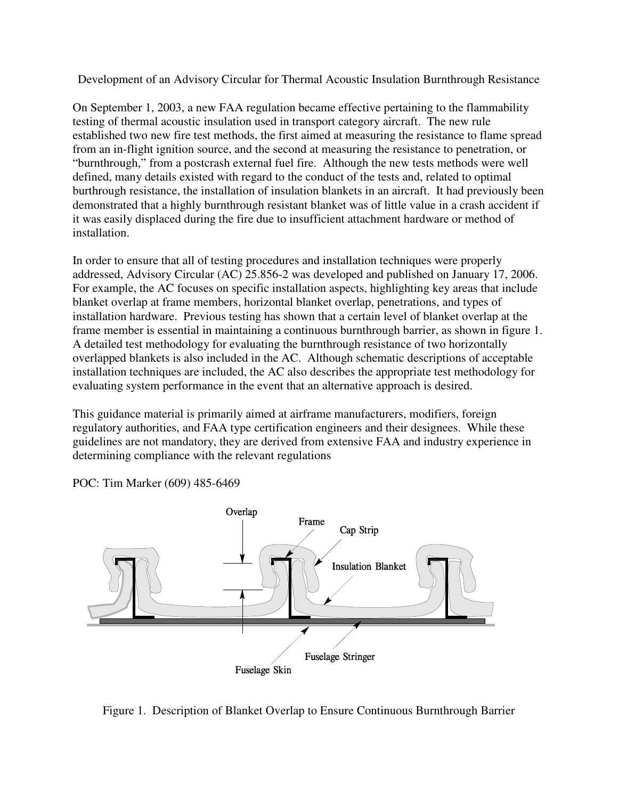Development of an Advisory Circular for Thermal Acoustic Insulation Burnthrough Resistance

On September 1, 2003, a new FAA regulation became effective pertaining to the flammability testing of thermal acoustic insulation used in transport category aircraft. The new rule established two new fire test methods, the first aimed at measuring the resistance to flame spread from an in-flight ignition source, and the second at measuring the resistance to penetration, or "burnthrough," from a postcrash external fuel fire. Although the new tests methods were well defined, many details existed with regard to the conduct of the tests and, related to optimal burthrough resistance, the installation of insulation blankets in an aircraft. It had previously been demonstrated that a highly burnthrough resistant blanket was of little value in a crash accident if it was easily displaced during the fire due to insufficient attachment hardware or method of installation.

In order to ensure that all of testing procedures and installation techniques were properly addressed, Advisory Circular (AC) 25.856-2 was developed and published on January 17, 2006. For example, the AC focuses on specific installation aspects, highlighting key areas that include blanket overlap at frame members, horizontal blanket overlap, penetrations, and types of installation hardware. Previous testing has shown that a certain level of blanket overlap at the frame member is essential in maintaining a continuous burnthrough barrier, as shown in figure 1. A detailed test methodology for evaluating the burnthrough resistance of two horizontally overlapped blankets is also included in the AC. Although schematic descriptions of acceptable installation techniques are included, the AC also describes the appropriate test methodology for evaluating system performance in the event that an alternative approach is desired.

This guidance material is primarily aimed at airframe manufacturers, modifiers, foreign regulatory authorities, and FAA type certification engineers and their designees. While these guidelines are not mandatory, they are derived from extensive FAA and industry experience in determining compliance with the relevant regulations



POC: Tim Marker (609) 485-6469

Figure 1. Description of Blanket Overlap to Ensure Continuous Burnthrough Barrier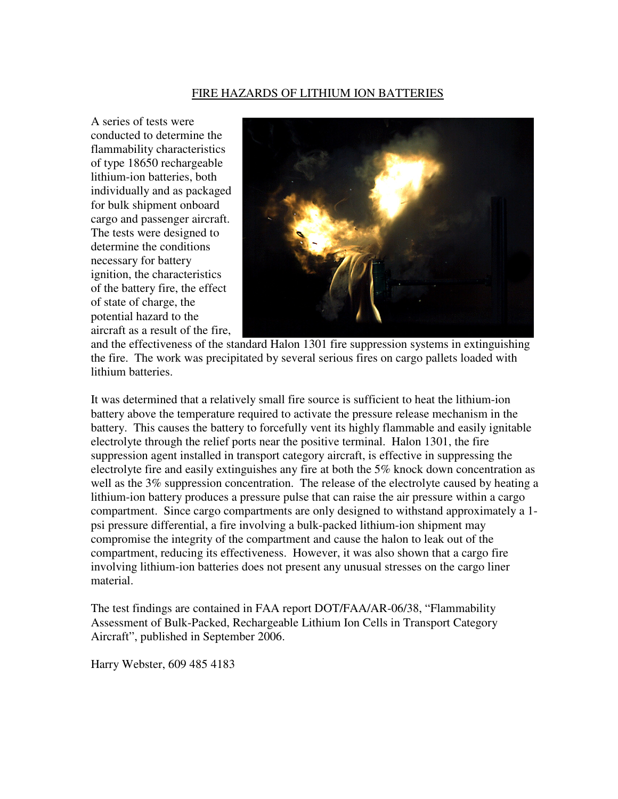#### FIRE HAZARDS OF LITHIUM ION BATTERIES

A series of tests were conducted to determine the flammability characteristics of type 18650 rechargeable lithium-ion batteries, both individually and as packaged for bulk shipment onboard cargo and passenger aircraft. The tests were designed to determine the conditions necessary for battery ignition, the characteristics of the battery fire, the effect of state of charge, the potential hazard to the aircraft as a result of the fire,



and the effectiveness of the standard Halon 1301 fire suppression systems in extinguishing the fire. The work was precipitated by several serious fires on cargo pallets loaded with lithium batteries.

It was determined that a relatively small fire source is sufficient to heat the lithium-ion battery above the temperature required to activate the pressure release mechanism in the battery. This causes the battery to forcefully vent its highly flammable and easily ignitable electrolyte through the relief ports near the positive terminal. Halon 1301, the fire suppression agent installed in transport category aircraft, is effective in suppressing the electrolyte fire and easily extinguishes any fire at both the 5% knock down concentration as well as the 3% suppression concentration. The release of the electrolyte caused by heating a lithium-ion battery produces a pressure pulse that can raise the air pressure within a cargo compartment. Since cargo compartments are only designed to withstand approximately a 1 psi pressure differential, a fire involving a bulk-packed lithium-ion shipment may compromise the integrity of the compartment and cause the halon to leak out of the compartment, reducing its effectiveness. However, it was also shown that a cargo fire involving lithium-ion batteries does not present any unusual stresses on the cargo liner material.

The test findings are contained in FAA report DOT/FAA/AR-06/38, "Flammability Assessment of Bulk-Packed, Rechargeable Lithium Ion Cells in Transport Category Aircraft", published in September 2006.

Harry Webster, 609 485 4183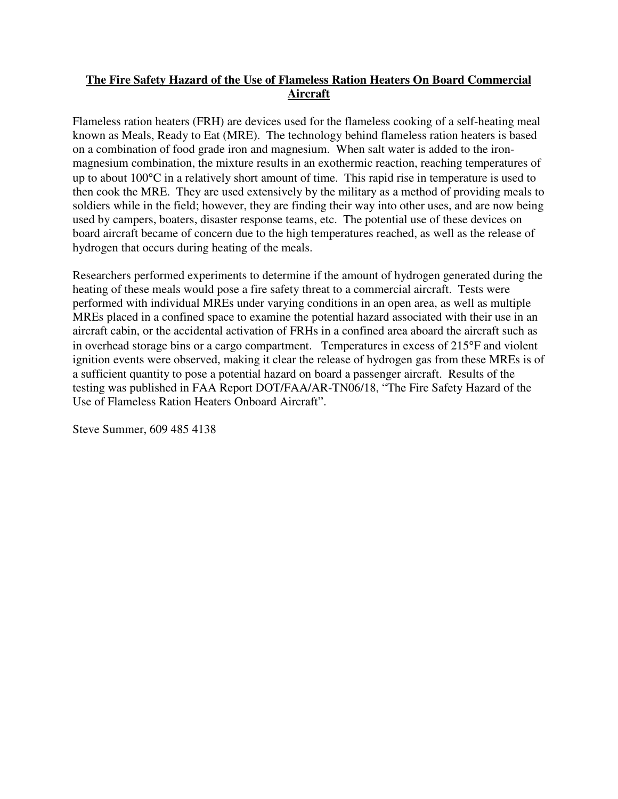## **The Fire Safety Hazard of the Use of Flameless Ration Heaters On Board Commercial Aircraft**

Flameless ration heaters (FRH) are devices used for the flameless cooking of a self-heating meal known as Meals, Ready to Eat (MRE). The technology behind flameless ration heaters is based on a combination of food grade iron and magnesium. When salt water is added to the ironmagnesium combination, the mixture results in an exothermic reaction, reaching temperatures of up to about 100°C in a relatively short amount of time. This rapid rise in temperature is used to then cook the MRE. They are used extensively by the military as a method of providing meals to soldiers while in the field; however, they are finding their way into other uses, and are now being used by campers, boaters, disaster response teams, etc. The potential use of these devices on board aircraft became of concern due to the high temperatures reached, as well as the release of hydrogen that occurs during heating of the meals.

Researchers performed experiments to determine if the amount of hydrogen generated during the heating of these meals would pose a fire safety threat to a commercial aircraft. Tests were performed with individual MREs under varying conditions in an open area, as well as multiple MREs placed in a confined space to examine the potential hazard associated with their use in an aircraft cabin, or the accidental activation of FRHs in a confined area aboard the aircraft such as in overhead storage bins or a cargo compartment. Temperatures in excess of 215°F and violent ignition events were observed, making it clear the release of hydrogen gas from these MREs is of a sufficient quantity to pose a potential hazard on board a passenger aircraft. Results of the testing was published in FAA Report DOT/FAA/AR-TN06/18, "The Fire Safety Hazard of the Use of Flameless Ration Heaters Onboard Aircraft".

Steve Summer, 609 485 4138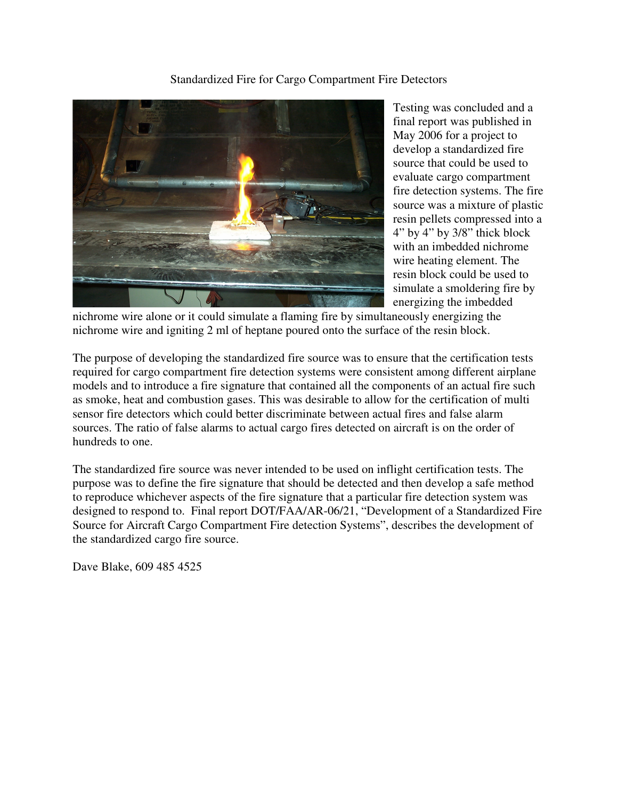Standardized Fire for Cargo Compartment Fire Detectors



Testing was concluded and a final report was published in May 2006 for a project to develop a standardized fire source that could be used to evaluate cargo compartment fire detection systems. The fire source was a mixture of plastic resin pellets compressed into a 4" by 4" by 3/8" thick block with an imbedded nichrome wire heating element. The resin block could be used to simulate a smoldering fire by energizing the imbedded

nichrome wire alone or it could simulate a flaming fire by simultaneously energizing the nichrome wire and igniting 2 ml of heptane poured onto the surface of the resin block.

The purpose of developing the standardized fire source was to ensure that the certification tests required for cargo compartment fire detection systems were consistent among different airplane models and to introduce a fire signature that contained all the components of an actual fire such as smoke, heat and combustion gases. This was desirable to allow for the certification of multi sensor fire detectors which could better discriminate between actual fires and false alarm sources. The ratio of false alarms to actual cargo fires detected on aircraft is on the order of hundreds to one.

The standardized fire source was never intended to be used on inflight certification tests. The purpose was to define the fire signature that should be detected and then develop a safe method to reproduce whichever aspects of the fire signature that a particular fire detection system was designed to respond to. Final report DOT/FAA/AR-06/21, "Development of a Standardized Fire Source for Aircraft Cargo Compartment Fire detection Systems", describes the development of the standardized cargo fire source.

Dave Blake, 609 485 4525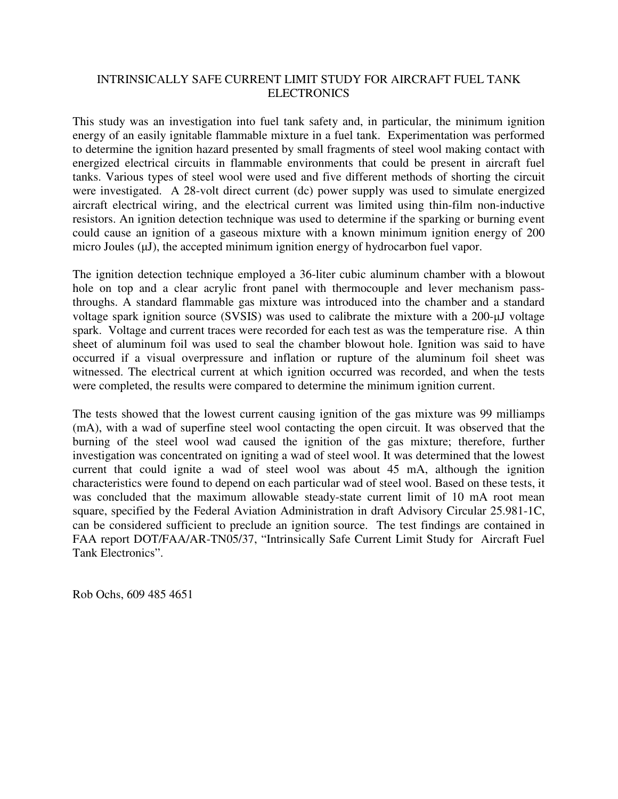#### INTRINSICALLY SAFE CURRENT LIMIT STUDY FOR AIRCRAFT FUEL TANK ELECTRONICS

This study was an investigation into fuel tank safety and, in particular, the minimum ignition energy of an easily ignitable flammable mixture in a fuel tank. Experimentation was performed to determine the ignition hazard presented by small fragments of steel wool making contact with energized electrical circuits in flammable environments that could be present in aircraft fuel tanks. Various types of steel wool were used and five different methods of shorting the circuit were investigated. A 28-volt direct current (dc) power supply was used to simulate energized aircraft electrical wiring, and the electrical current was limited using thin-film non-inductive resistors. An ignition detection technique was used to determine if the sparking or burning event could cause an ignition of a gaseous mixture with a known minimum ignition energy of 200 micro Joules  $(uJ)$ , the accepted minimum ignition energy of hydrocarbon fuel vapor.

The ignition detection technique employed a 36-liter cubic aluminum chamber with a blowout hole on top and a clear acrylic front panel with thermocouple and lever mechanism passthroughs. A standard flammable gas mixture was introduced into the chamber and a standard voltage spark ignition source (SVSIS) was used to calibrate the mixture with a 200-µJ voltage spark. Voltage and current traces were recorded for each test as was the temperature rise. A thin sheet of aluminum foil was used to seal the chamber blowout hole. Ignition was said to have occurred if a visual overpressure and inflation or rupture of the aluminum foil sheet was witnessed. The electrical current at which ignition occurred was recorded, and when the tests were completed, the results were compared to determine the minimum ignition current.

The tests showed that the lowest current causing ignition of the gas mixture was 99 milliamps (mA), with a wad of superfine steel wool contacting the open circuit. It was observed that the burning of the steel wool wad caused the ignition of the gas mixture; therefore, further investigation was concentrated on igniting a wad of steel wool. It was determined that the lowest current that could ignite a wad of steel wool was about 45 mA, although the ignition characteristics were found to depend on each particular wad of steel wool. Based on these tests, it was concluded that the maximum allowable steady-state current limit of 10 mA root mean square, specified by the Federal Aviation Administration in draft Advisory Circular 25.981-1C, can be considered sufficient to preclude an ignition source. The test findings are contained in FAA report DOT/FAA/AR-TN05/37, "Intrinsically Safe Current Limit Study for Aircraft Fuel Tank Electronics".

Rob Ochs, 609 485 4651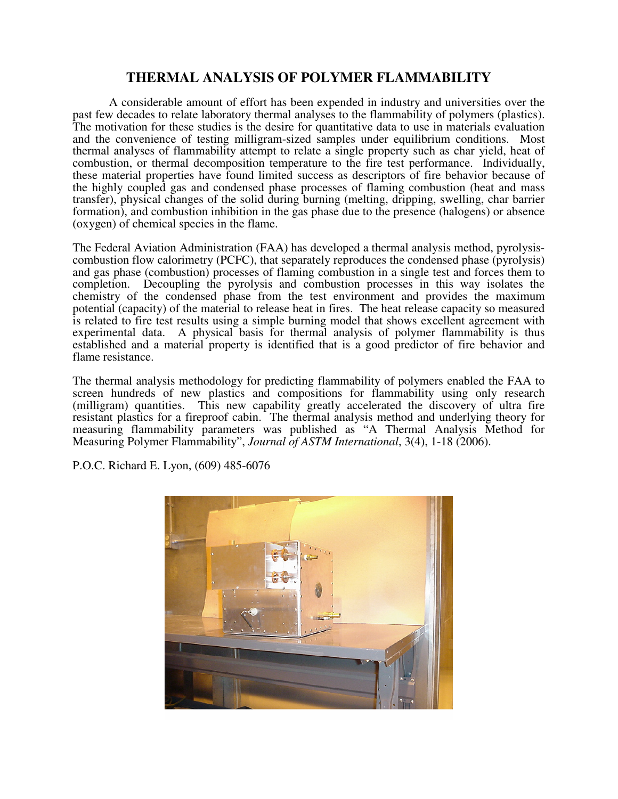# **THERMAL ANALYSIS OF POLYMER FLAMMABILITY**

 A considerable amount of effort has been expended in industry and universities over the past few decades to relate laboratory thermal analyses to the flammability of polymers (plastics). The motivation for these studies is the desire for quantitative data to use in materials evaluation and the convenience of testing milligram-sized samples under equilibrium conditions. Most thermal analyses of flammability attempt to relate a single property such as char yield, heat of combustion, or thermal decomposition temperature to the fire test performance. Individually, these material properties have found limited success as descriptors of fire behavior because of the highly coupled gas and condensed phase processes of flaming combustion (heat and mass transfer), physical changes of the solid during burning (melting, dripping, swelling, char barrier formation), and combustion inhibition in the gas phase due to the presence (halogens) or absence (oxygen) of chemical species in the flame.

The Federal Aviation Administration (FAA) has developed a thermal analysis method, pyrolysiscombustion flow calorimetry (PCFC), that separately reproduces the condensed phase (pyrolysis) and gas phase (combustion) processes of flaming combustion in a single test and forces them to completion. Decoupling the pyrolysis and combustion processes in this way isolates the chemistry of the condensed phase from the test environment and provides the maximum potential (capacity) of the material to release heat in fires. The heat release capacity so measured is related to fire test results using a simple burning model that shows excellent agreement with experimental data. A physical basis for thermal analysis of polymer flammability is thus established and a material property is identified that is a good predictor of fire behavior and flame resistance.

The thermal analysis methodology for predicting flammability of polymers enabled the FAA to screen hundreds of new plastics and compositions for flammability using only research (milligram) quantities. This new capability greatly accelerated the discovery of ultra fire resistant plastics for a fireproof cabin. The thermal analysis method and underlying theory for measuring flammability parameters was published as "A Thermal Analysis Method for Measuring Polymer Flammability", *Journal of ASTM International*, 3(4), 1-18 (2006).

P.O.C. Richard E. Lyon, (609) 485-6076